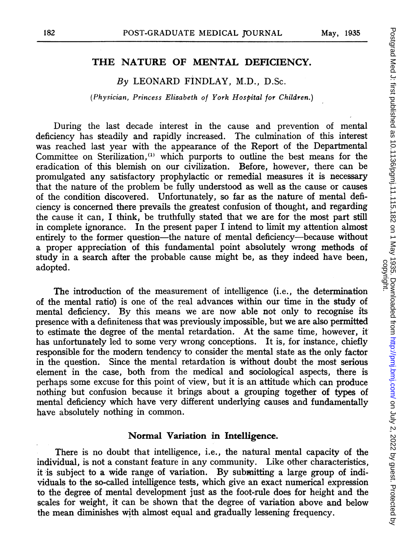# THE NATURE OF MENTAL DEFICIENCY.

## By LEONARD FINDLAY, M.D., D.Sc.

(Physician, Princess Elizabeth of York Hospital for Children.)

During the last decade interest in the cause and prevention of mental deficiency has steadily and rapidly increased. The culmination of this interest was reached last year with the appearance of the Report of the Departmental Committee on Sterilization,<sup>(1)</sup> which purports to outline the best means for the eradication of this blemish on our civilization. Before, however, there can be promulgated any satisfactory prophylactic or remedial measures it is necessary that the nature of the problem be fully understood as well as the cause or causes of the condition discovered. Unfortunately, so far as the nature of mental deficiency is concerned there prevails the greatest confusion of thought, and regarding the cause it can, <sup>I</sup> think, be truthfully stated that we are for the most part still in complete ignorance. In the present paper <sup>I</sup> intend to limit my attention almost entirely to the former question-the nature of mental deficiency-because without a proper appreciation of this fundamental point absolutely wrong methods of study in a search after the probable cause might be, as they indeed have been, adopted.

The introduction of the measurement of intelligence (i.e., the determination of the mental ratio) is one of the real advances within our time in the study of mental deficiency. By this means we are now able not only to recognise its presence with a definiteness that was previously impossible, but we are also permitted to estimate the degree of the mental retardation. At the same time, however, it has unfortunately led to some very wrong conceptions. It is, for instance, chiefly responsible for the modern tendency to consider the mental state as the only factor in the question. Since the mental retardation is without doubt the most serious element in the case, both from the medical and sociological aspects, there is perhaps some excuse for this point of view, but it is an attitude which can produce nothing but confusion because it brings about a grouping together of types of mental deficiency which have very different underlying causes and fundamentally have absolutely nothing in common.

#### Normal Variation in Intelligence.

There is no doubt that intelligence, i.e., the natural mental capacity of the individual, is not a constant feature in any community. Like other characteristics, it is subject to a wide range of variation. By submitting a large group of individuals to the so-called intelligence tests, which give an exact numerical expression to the 'degree of mental development just as the foot-rule does for height and the scales for weight, it can be shown that the degree of variation above and below the mean diminishes with almost equal and gradually lessening frequency.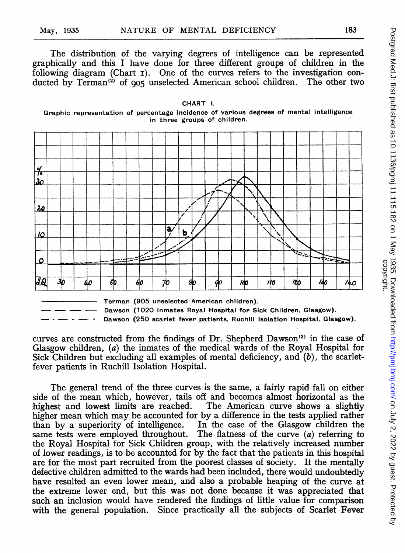The distribution of the varying degrees of intelligence can be represented graphically and this I have done for three different groups of children in the following diagram (Chart I). One of the curves refers to the investigation conducted by Terman<sup>(2)</sup> of 905 unselected American school children. The other two

CHART I.



Terman (905 unselected American children).

Dawson (1020 inmates Royal Hospital for Sick Children, Glasgow).

Dawson (250 scarlet fever patients, Ruchill Isolation Hospital, Glasgow).

curves are constructed from the findings of Dr. Shepherd Dawson'3' in the case of Glasgow children, (a) the inmates of the medical wards of the Royal Hospital for Sick Children but excluding all examples of mental deficiency, and  $(b)$ , the scarletfever patients in Ruchill Isolation Hospital.

The general trend of the three curves is the same, a fairly rapid fall on either side of the mean which, however, tails off and becomes almost horizontal as the highest and lowest limits are reached. The American curve shows a slightly highest and lowest limits are reached. higher mean which may be accounted for by a difference in the tests applied rather than by a superiority of intelligence. In the case of the Glasgow children the than by a superiority of intelligence. same tests were employed throughout. The flatness of the curve  $(a)$  referring to the Royal Hospital for Sick Children group, with the relatively increased number of lower readings, is to be accounted for by the fact that the patients in this hospital are for the most part recruited from the poorest classes of society. If the mentally defective children admitted to the wards had been included, there would undoubtedly have resulted an even lower mean, and also a probable heaping of the curve at the extreme lower end, but this was not done because it was appreciated that such an inclusion would have rendered the findings of little value for comparison with the general population. Since practically all the subjects of Scarlet Fever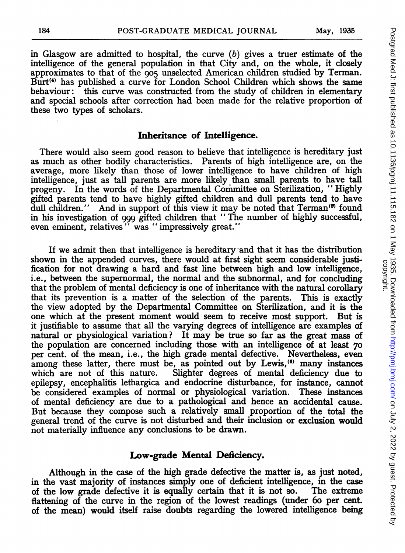in Glasgow are admitted to hospital, the curve  $(b)$  gives a truer estimate of the intelligence of the general population in that City and, on the whole, it closely approximates to that of the 905 unselected American children studied by Terman. Burt<sup> $(4)$ </sup> has published a curve for London School Children which shows the same behaviour: this curve was constructed from the study of children in elementary and special schools after correction had been made for the relative proportion of these two types of scholars.

#### Inheritance of Intelligence.

There would also seem good reason to believe that intelligence is hereditary just as much as other bodily characteristics. Parents of high intelligence are, on the average, more likely than those of lower intelligence to have children of high intelligence, just as tall parents are more likely than small parents to have tall progeny. In the words of the Departmental Committee on Sterilization, "Highly gifted parents tend to have highly gifted children and dull parents tend to have dull children." And in support of this view it may be noted that Terman<sup>(9)</sup> found in his investigation of <sup>999</sup> gifted children that "The number of highly successful, even eminent, relatives" was "impressively great."

If we admit then that intelligence is hereditary and that it has the distribution shown in the appended curves, there would at first sight seem considerable justification for not drawing a hard and fast line between high and low intelligence, i.e., between the supernormal, the normal and the subnormal, and for concluding that the problem of mental deficiency is one of inheritance with the natural corollary that its prevention is a matter of the selection of the parents. This is exactly the view adopted by the Departmental Committee on Sterilization, and it is the one which at the present moment would seem to receive most support. But is it justifiable to assume that all the varying degrees of intelligence are examples of natural or physiological variation? It may be true so far as the great mass of the population are concerned including those with an intelligence of at least 70 per cent. of the mean, i.e., the high grade mental defective. Nevertheless, even among these latter, there must be, as pointed out by Lewis,<sup>(6)</sup> many instances which are not of this nature. Slighter degrees of mental deficiency due to Slighter degrees of mental deficiency due to epilepsy, encephalitis lethargica and endocrine disturbance, for instance, cannot be considered examples of normal or physiological variation. These instances of mental deficiency are due to a pathological and hence an accidental cause. But because they compose such a relatively small proportion of the total the general trend of the curve is not disturbed and their inclusion or exclusion would not materially influence any conclusions to be drawn.

### Low-grade Mental Deficiency.

Although in the case of the high grade defective the matter is, as just noted, in the vast majority of instances simply one of deficient intelligence, in the case of the low grade defective it is equally certain that it is not so. flattening of the curve in the region of the lowest readings (under 60 per cent. of the mean) would itself raise doubts regarding the lowered intelligence being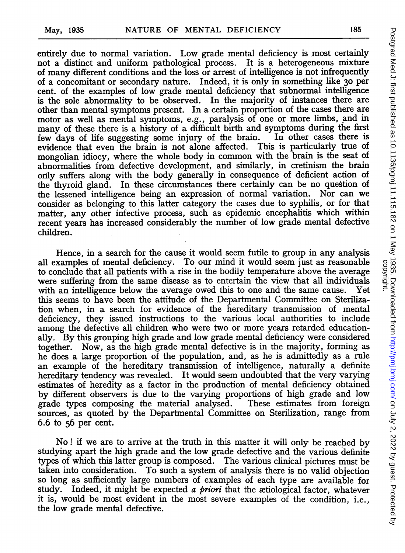entirely due to normal variation. Low grade mental deficiency is most certainly not a distinct and uniform pathological process. It is a heterogeneous mixture of many different conditions and the loss or arrest of intelligence is not infrequently of a concomitant or secondary nature. Indeed, it is only in something like 30 per cent. of the examples of low grade mental deficiency that subnormal intelligence is the sole abnormality to be observed. In the majority of instances there are other than mental symptoms present. In a certain proportion of the cases there are motor as well as mental symptoms, e.g., paralysis of one or more limbs, and in many of these there is a history of a difficult birth and symptoms during the first few days of life suggesting some injury of the brain. In other cases there is few days of life suggesting some injury of the brain. evidence that even the brain is not alone affected. This is particularly true of mongolian idiocy, where the whole body in common with the brain is the seat of abnormalities from defective development, and similarly, in cretinism the brain only suffers along with the body generally in consequence of deficient action of the thyroid gland. In these circumstances there certainly can be no question of the lessened intelligence being an expression of normal variation. Nor can we consider as belonging to this latter category the cases due to syphilis, or for that matter, any other infective process, such as epidemic encephalitis which within recent years has increased considerably the number of low grade mental defective children.

Hence, in a search for the cause it would seem futile to group in any analysis all examples of mental deficiency. To our mind it would seem just as reasonable to conclude that all patients with a rise in the bodily temperature above the average were suffering from the same disease as to entertain the view that all individuals with an intelligence below the average owed this to one and the same cause. Yet with an intelligence below the average owed this to one and the same cause. this seems to have been the attitude of the Departmental Committee on Sterilization when, in a search for evidence of the hereditary transmission of mental deficiency, they issued instructions to the various local authorities to include among the defective all children who were two or more years retarded educationally. By this grouping high grade and low grade mental deficiency were considered together. Now, as the high grade mental defective is in the majority, forming as he does a large proportion of the population, and, as he is admittedly as a rule an example of the hereditary transmission of intelligence, naturally a definite hereditary tendency was revealed. It would seem undoubted that the very varying estimates of heredity as a factor in the production of mental deficiency obtained by different observers is due to the varying proportions of high grade and low grade types composing the material analysed. These estimates from foreign grade types composing the material analysed. sources, as quoted by the Departmental Committee on Sterilization, range from 6.6 to 56 per cent.

No ! if we are to arrive at the truth in this matter it will only be reached by studying apart the high grade and the low grade defective and the various definite types of which this latter group is composed. The various clinical pictures must be taken into consideration. To such a system of analysis there is no valid objection so long as sufficiently large numbers of examples of each type are available for study. Indeed, it might be expected a *priori* that the actiological factor, whatever it is, would be most evident in the most severe examples of the condition, i.e., the low grade mental defective.